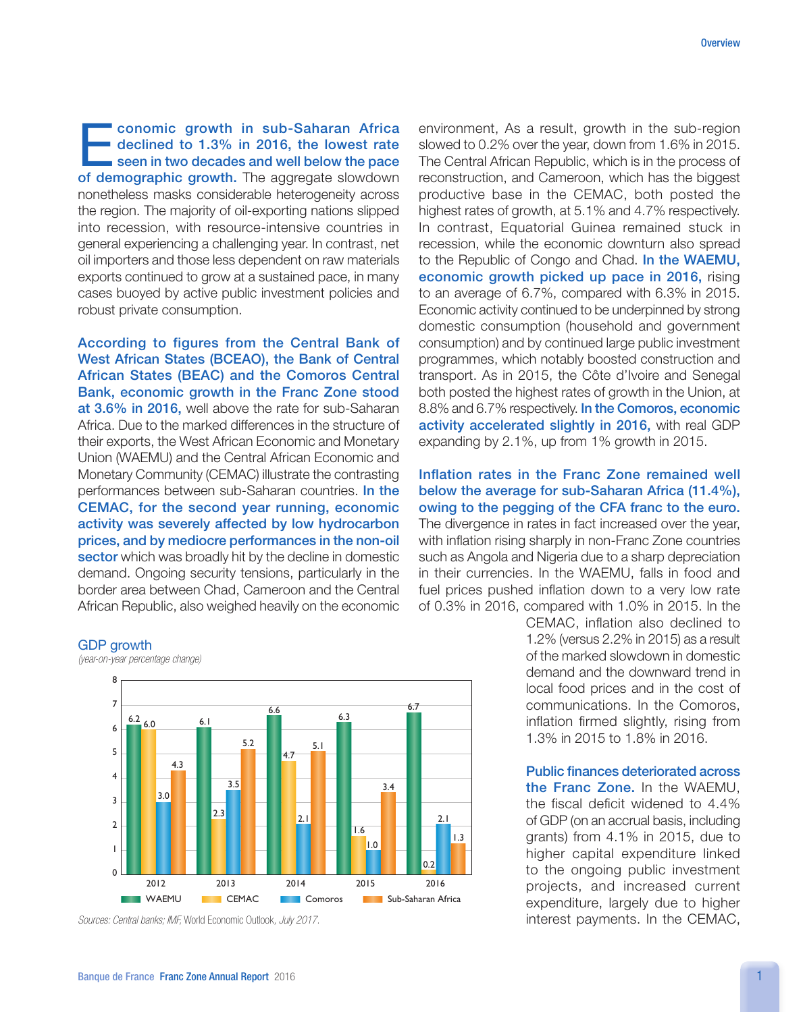conomic growth in sub-Saharan Africa declined to 1.3% in 2016, the lowest rate seen in two decades and well below the pace of demographic growth. The aggregate slowdown nonetheless masks considerable heterogeneity across the region. The majority of oil-exporting nations slipped into recession, with resource-intensive countries in general experiencing a challenging year. In contrast, net oil importers and those less dependent on raw materials exports continued to grow at a sustained pace, in many cases buoyed by active public investment policies and robust private consumption.

According to figures from the Central Bank of West African States (BCEAO), the Bank of Central African States (BEAC) and the Comoros Central Bank, economic growth in the Franc Zone stood at 3.6% in 2016, well above the rate for sub-Saharan Africa. Due to the marked differences in the structure of their exports, the West African Economic and Monetary Union (WAEMU) and the Central African Economic and Monetary Community (CEMAC) illustrate the contrasting performances between sub-Saharan countries. In the CEMAC, for the second year running, economic activity was severely affected by low hydrocarbon prices, and by mediocre performances in the non-oil sector which was broadly hit by the decline in domestic demand. Ongoing security tensions, particularly in the border area between Chad, Cameroon and the Central African Republic, also weighed heavily on the economic

## GDP growth



*(year-on-year percentage change)*

*Sources: Central banks; IMF,* World Economic Outlook*, July 2017.*

environment, As a result, growth in the sub-region slowed to 0.2% over the year, down from 1.6% in 2015. The Central African Republic, which is in the process of reconstruction, and Cameroon, which has the biggest productive base in the CEMAC, both posted the highest rates of growth, at 5.1% and 4.7% respectively. In contrast, Equatorial Guinea remained stuck in recession, while the economic downturn also spread to the Republic of Congo and Chad. In the WAEMU, economic growth picked up pace in 2016, rising to an average of 6.7%, compared with 6.3% in 2015. Economic activity continued to be underpinned by strong domestic consumption (household and government consumption) and by continued large public investment programmes, which notably boosted construction and transport. As in 2015, the Côte d'Ivoire and Senegal both posted the highest rates of growth in the Union, at 8.8% and 6.7% respectively. In the Comoros, economic activity accelerated slightly in 2016, with real GDP expanding by 2.1%, up from 1% growth in 2015.

Inflation rates in the Franc Zone remained well below the average for sub-Saharan Africa (11.4%), owing to the pegging of the CFA franc to the euro. The divergence in rates in fact increased over the year, with inflation rising sharply in non-Franc Zone countries such as Angola and Nigeria due to a sharp depreciation in their currencies. In the WAEMU, falls in food and fuel prices pushed inflation down to a very low rate of 0.3% in 2016, compared with 1.0% in 2015. In the

> CEMAC, inflation also declined to 1.2% (versus 2.2% in 2015) as a result of the marked slowdown in domestic demand and the downward trend in local food prices and in the cost of communications. In the Comoros, inflation firmed slightly, rising from 1.3% in 2015 to 1.8% in 2016.

> Public finances deteriorated across the Franc Zone. In the WAEMU, the fiscal deficit widened to 4.4% of GDP (on an accrual basis, including grants) from 4.1% in 2015, due to higher capital expenditure linked to the ongoing public investment projects, and increased current expenditure, largely due to higher interest payments. In the CEMAC,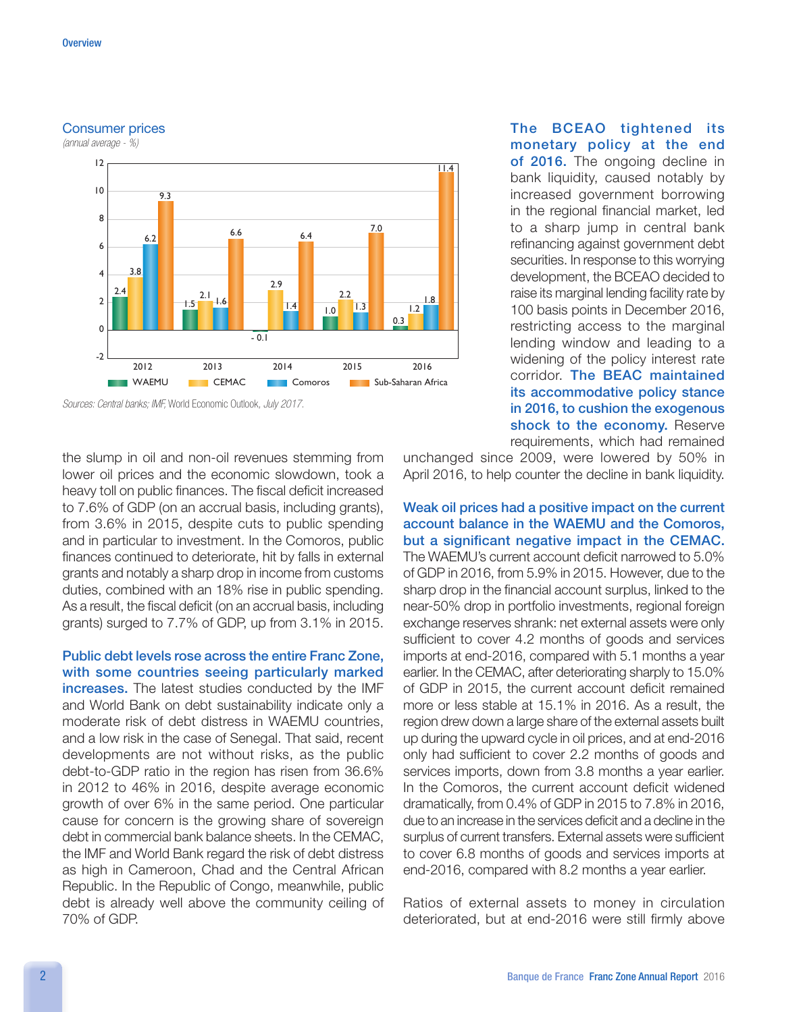## Consumer prices

*(annual average - %)*



*Sources: Central banks; IMF,* World Economic Outlook*, July 2017.*

the slump in oil and non-oil revenues stemming from lower oil prices and the economic slowdown, took a heavy toll on public finances. The fiscal deficit increased to 7.6% of GDP (on an accrual basis, including grants), from 3.6% in 2015, despite cuts to public spending and in particular to investment. In the Comoros, public finances continued to deteriorate, hit by falls in external grants and notably a sharp drop in income from customs duties, combined with an 18% rise in public spending. As a result, the fiscal deficit (on an accrual basis, including grants) surged to 7.7% of GDP, up from 3.1% in 2015.

Public debt levels rose across the entire Franc Zone, with some countries seeing particularly marked increases. The latest studies conducted by the IMF and World Bank on debt sustainability indicate only a moderate risk of debt distress in WAEMU countries, and a low risk in the case of Senegal. That said, recent developments are not without risks, as the public debt-to-GDP ratio in the region has risen from 36.6% in 2012 to 46% in 2016, despite average economic growth of over 6% in the same period. One particular cause for concern is the growing share of sovereign debt in commercial bank balance sheets. In the CEMAC, the IMF and World Bank regard the risk of debt distress as high in Cameroon, Chad and the Central African Republic. In the Republic of Congo, meanwhile, public debt is already well above the community ceiling of 70% of GDP.

The BCEAO tightened its monetary policy at the end of 2016. The ongoing decline in bank liquidity, caused notably by increased government borrowing in the regional financial market, led to a sharp jump in central bank refinancing against government debt securities. In response to this worrying development, the BCEAO decided to raise its marginal lending facility rate by 100 basis points in December 2016, restricting access to the marginal lending window and leading to a widening of the policy interest rate corridor. The BEAC maintained its accommodative policy stance in 2016, to cushion the exogenous shock to the economy. Reserve requirements, which had remained

unchanged since 2009, were lowered by 50% in April 2016, to help counter the decline in bank liquidity.

Weak oil prices had a positive impact on the current account balance in the WAEMU and the Comoros, but a significant negative impact in the CEMAC. The WAEMU's current account deficit narrowed to 5.0% of GDP in 2016, from 5.9% in 2015. However, due to the sharp drop in the financial account surplus, linked to the near-50% drop in portfolio investments, regional foreign exchange reserves shrank: net external assets were only sufficient to cover 4.2 months of goods and services imports at end-2016, compared with 5.1 months a year earlier. In the CEMAC, after deteriorating sharply to 15.0% of GDP in 2015, the current account deficit remained more or less stable at 15.1% in 2016. As a result, the region drew down a large share of the external assets built up during the upward cycle in oil prices, and at end-2016 only had sufficient to cover 2.2 months of goods and services imports, down from 3.8 months a year earlier. In the Comoros, the current account deficit widened dramatically, from 0.4% of GDP in 2015 to 7.8% in 2016, due to an increase in the services deficit and a decline in the surplus of current transfers. External assets were sufficient to cover 6.8 months of goods and services imports at end-2016, compared with 8.2 months a year earlier.

Ratios of external assets to money in circulation deteriorated, but at end-2016 were still firmly above